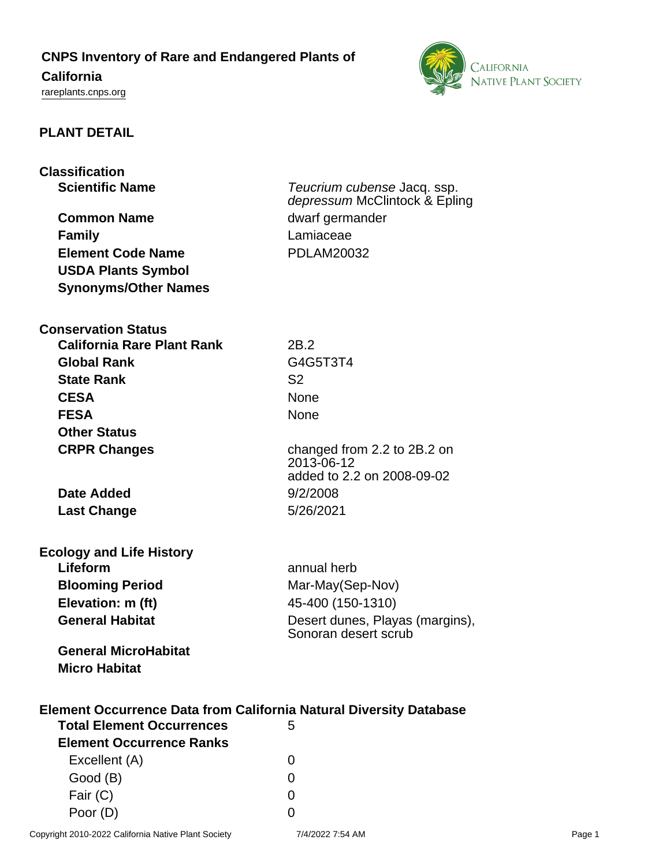# **CNPS Inventory of Rare and Endangered Plants of**

# **California**

<rareplants.cnps.org>



# **PLANT DETAIL**

| <b>Classification</b>                                                                                              |                                                         |
|--------------------------------------------------------------------------------------------------------------------|---------------------------------------------------------|
| <b>Scientific Name</b>                                                                                             | Teucrium cubense Jacq. ssp.                             |
|                                                                                                                    | depressum McClintock & Epling                           |
| <b>Common Name</b>                                                                                                 | dwarf germander                                         |
| <b>Family</b>                                                                                                      | Lamiaceae                                               |
| <b>Element Code Name</b>                                                                                           | <b>PDLAM20032</b>                                       |
| <b>USDA Plants Symbol</b>                                                                                          |                                                         |
| <b>Synonyms/Other Names</b>                                                                                        |                                                         |
| <b>Conservation Status</b>                                                                                         |                                                         |
| <b>California Rare Plant Rank</b>                                                                                  | 2B.2                                                    |
| <b>Global Rank</b>                                                                                                 | G4G5T3T4                                                |
| <b>State Rank</b>                                                                                                  | S <sub>2</sub>                                          |
| <b>CESA</b>                                                                                                        | None                                                    |
| <b>FESA</b>                                                                                                        | <b>None</b>                                             |
| <b>Other Status</b>                                                                                                |                                                         |
| <b>CRPR Changes</b>                                                                                                | changed from 2.2 to 2B.2 on                             |
|                                                                                                                    | 2013-06-12<br>added to 2.2 on 2008-09-02                |
| <b>Date Added</b>                                                                                                  | 9/2/2008                                                |
|                                                                                                                    | 5/26/2021                                               |
| <b>Last Change</b>                                                                                                 |                                                         |
| <b>Ecology and Life History</b>                                                                                    |                                                         |
| Lifeform                                                                                                           | annual herb                                             |
| <b>Blooming Period</b>                                                                                             | Mar-May(Sep-Nov)                                        |
| Elevation: m (ft)                                                                                                  | 45-400 (150-1310)                                       |
| <b>General Habitat</b>                                                                                             | Desert dunes, Playas (margins),<br>Sonoran desert scrub |
| <b>General MicroHabitat</b><br><b>Micro Habitat</b>                                                                |                                                         |
| <b>Element Occurrence Data from California Natural Diversity Database</b><br><b>Total Element Occurrences</b><br>5 |                                                         |
| <b>Element Occurrence Ranks</b>                                                                                    |                                                         |
| Excellent (A)                                                                                                      | 0                                                       |
| Good (B)                                                                                                           | 0                                                       |
| Fair (C)                                                                                                           | 0                                                       |

Poor (D) 0